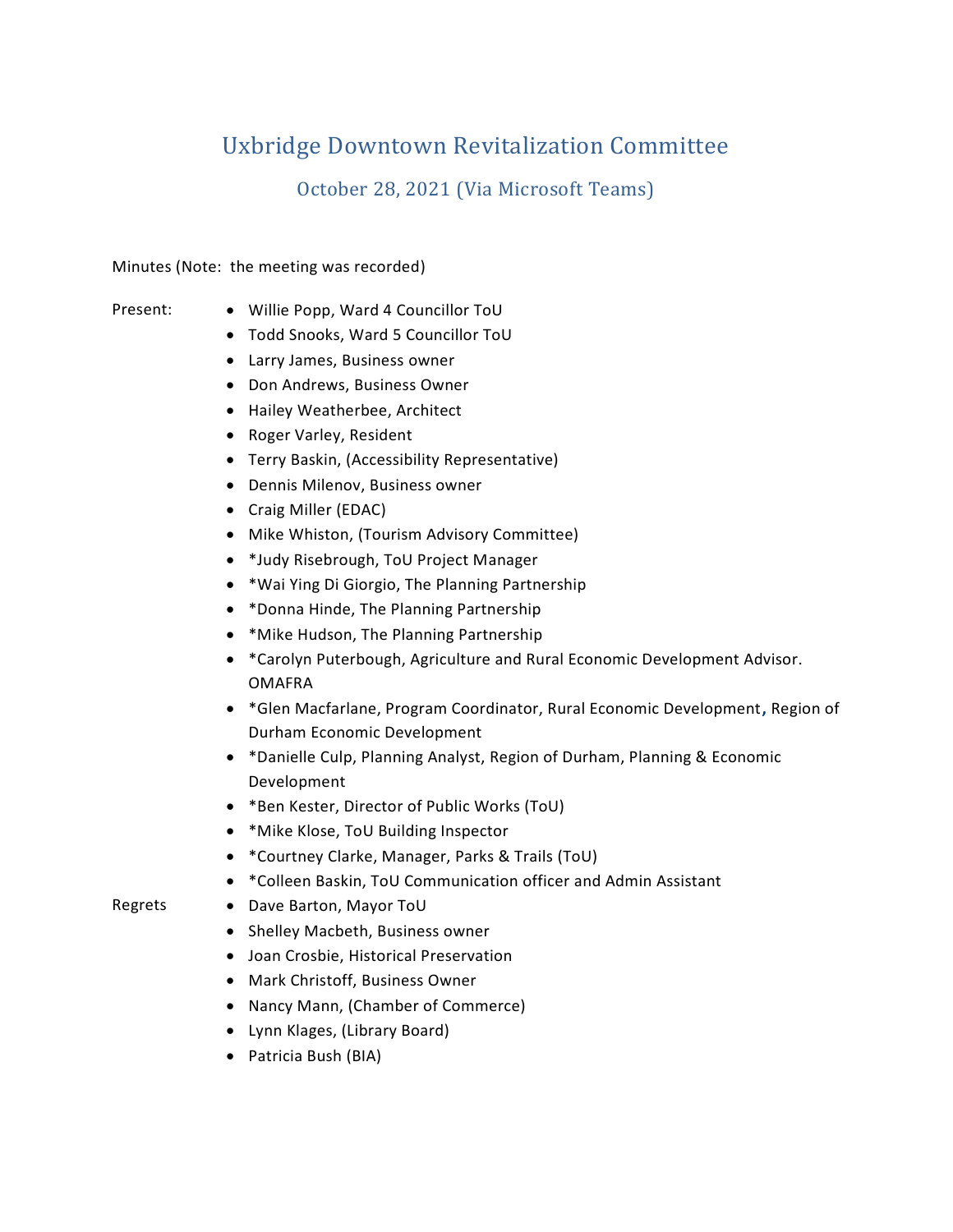# Uxbridge Downtown Revitalization Committee

October 28, 2021 (Via Microsoft Teams)

Minutes (Note: the meeting was recorded)

- Present: Willie Popp, Ward 4 Councillor ToU
	- Todd Snooks, Ward 5 Councillor ToU
	- Larry James, Business owner
	- Don Andrews, Business Owner
	- Hailey Weatherbee, Architect
	- Roger Varley, Resident
	- Terry Baskin, (Accessibility Representative)
	- Dennis Milenov, Business owner
	- Craig Miller (EDAC)
	- Mike Whiston, (Tourism Advisory Committee)
	- \*Judy Risebrough, ToU Project Manager
	- \*Wai Ying Di Giorgio, The Planning Partnership
	- \*Donna Hinde, The Planning Partnership
	- \*Mike Hudson, The Planning Partnership
	- \*Carolyn Puterbough, Agriculture and Rural Economic Development Advisor. OMAFRA
	- \*Glen Macfarlane, Program Coordinator, Rural Economic Development**,** Region of Durham Economic Development
	- \*Danielle Culp, Planning Analyst, Region of Durham, Planning & Economic Development
	- \*Ben Kester, Director of Public Works (ToU)
	- \*Mike Klose, ToU Building Inspector
	- \*Courtney Clarke, Manager, Parks & Trails (ToU)
	- \*Colleen Baskin, ToU Communication officer and Admin Assistant
- Regrets Dave Barton, Mayor ToU
	- Shelley Macbeth, Business owner
	- Joan Crosbie, Historical Preservation
	- Mark Christoff, Business Owner
	- Nancy Mann, (Chamber of Commerce)
	- Lynn Klages, (Library Board)
	- Patricia Bush (BIA)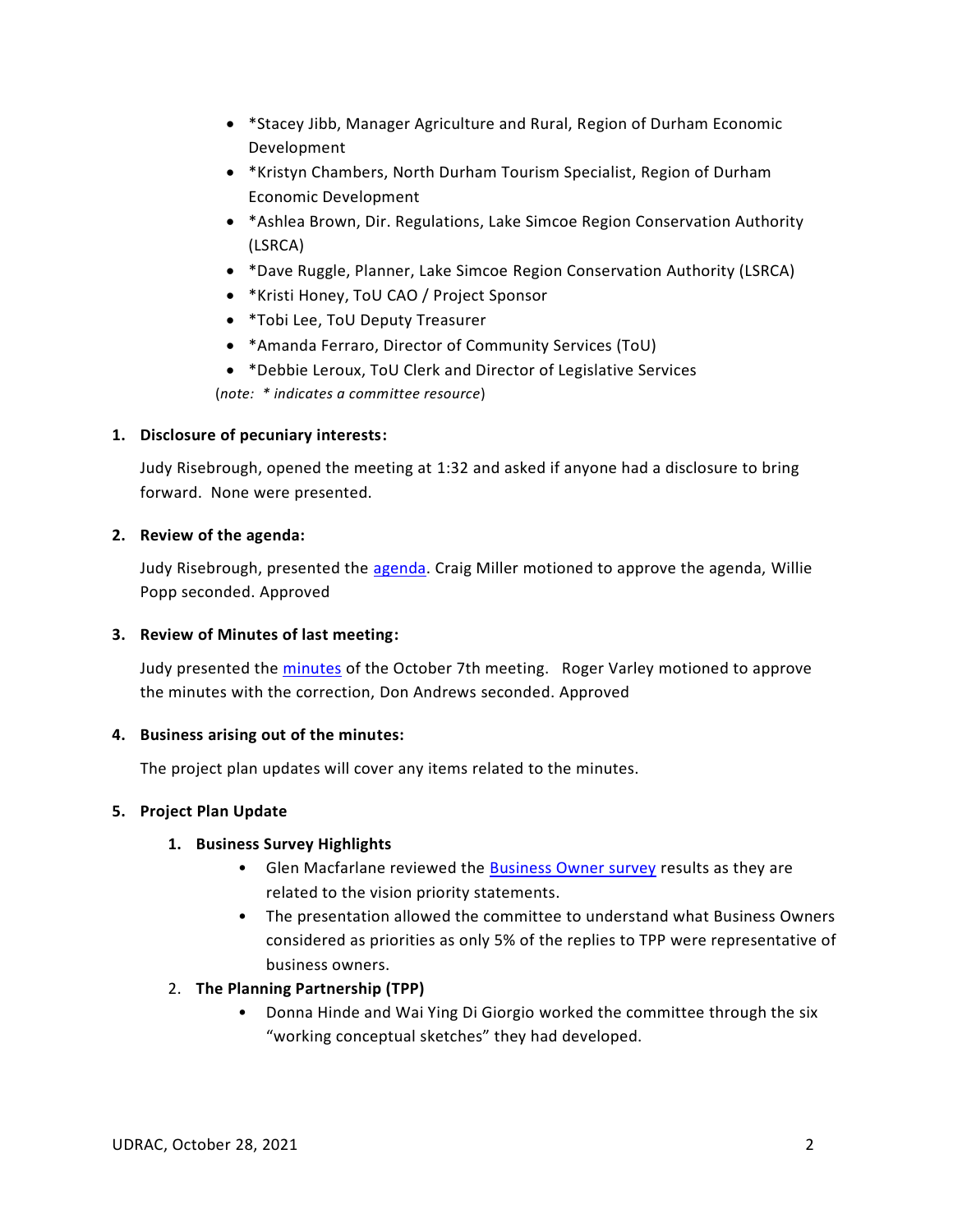- \*Stacey Jibb, Manager Agriculture and Rural, Region of Durham Economic Development
- \*Kristyn Chambers, North Durham Tourism Specialist, Region of Durham Economic Development
- \*Ashlea Brown, Dir. Regulations, Lake Simcoe Region Conservation Authority (LSRCA)
- \*Dave Ruggle, Planner, Lake Simcoe Region Conservation Authority (LSRCA)
- \*Kristi Honey, ToU CAO / Project Sponsor
- \*Tobi Lee, ToU Deputy Treasurer
- \*Amanda Ferraro, Director of Community Services (ToU)
- \*Debbie Leroux, ToU Clerk and Director of Legislative Services

(*note: \* indicates a committee resource*)

# **1. Disclosure of pecuniary interests:**

Judy Risebrough, opened the meeting at 1:32 and asked if anyone had a disclosure to bring forward. None were presented.

### **2. Review of the agenda:**

Judy Risebrough, presented the [agenda.](https://teams.microsoft.com/l/file/84314661-53AB-4A95-8A69-AD3306D234DC?tenantId=a0d86827-b9e4-4d58-b4f1-cf339fa85b20&fileType=docx&objectUrl=https%3A%2F%2Fuxbridgetownship.sharepoint.com%2Fsites%2FUXMyUxbridgeDowntown%2FShared%20Documents%2FAttachments%20and%20Files%2FMeeting%20%2311%20(Oct%2028%2C%202021)%2FUDRAC%20-%20Agenda%20for%20Meeting%20%2311%20(October%2028%2C%202021)%20(final).docx&baseUrl=https%3A%2F%2Fuxbridgetownship.sharepoint.com%2Fsites%2FUXMyUxbridgeDowntown&serviceName=teams&threadId=19:1500d4ef4c114f8db442ae082ac0334c@thread.tacv2&groupId=9493d0fa-122c-4f66-80f4-34742e018a15) Craig Miller motioned to approve the agenda, Willie Popp seconded. Approved

# **3. Review of Minutes of last meeting:**

Judy presented the [minutes](https://teams.microsoft.com/l/file/42910CF0-B75C-476B-A862-59F338FC2911?tenantId=a0d86827-b9e4-4d58-b4f1-cf339fa85b20&fileType=docx&objectUrl=https%3A%2F%2Fuxbridgetownship.sharepoint.com%2Fsites%2FUXMyUxbridgeDowntown%2FShared%20Documents%2FAttachments%20and%20Files%2FMeeting%20%2310%20(October%207%2C%202021)%2FUDRAC%20-%20Minutes%20for%20Meeting%20%2310%20(Oct.%207%202021)%20(final).docx&baseUrl=https%3A%2F%2Fuxbridgetownship.sharepoint.com%2Fsites%2FUXMyUxbridgeDowntown&serviceName=teams&threadId=19:1500d4ef4c114f8db442ae082ac0334c@thread.tacv2&groupId=9493d0fa-122c-4f66-80f4-34742e018a15) of the October 7th meeting. Roger Varley motioned to approve the minutes with the correction, Don Andrews seconded. Approved

# **4. Business arising out of the minutes:**

The project plan updates will cover any items related to the minutes.

#### **5. Project Plan Update**

# **1. Business Survey Highlights**

- Glen Macfarlane reviewed the **Business Owner survey results as they are** related to the vision priority statements.
- The presentation allowed the committee to understand what Business Owners considered as priorities as only 5% of the replies to TPP were representative of business owners.

# 2. **The Planning Partnership (TPP)**

• Donna Hinde and Wai Ying Di Giorgio worked the committee through the six "working conceptual sketches" they had developed.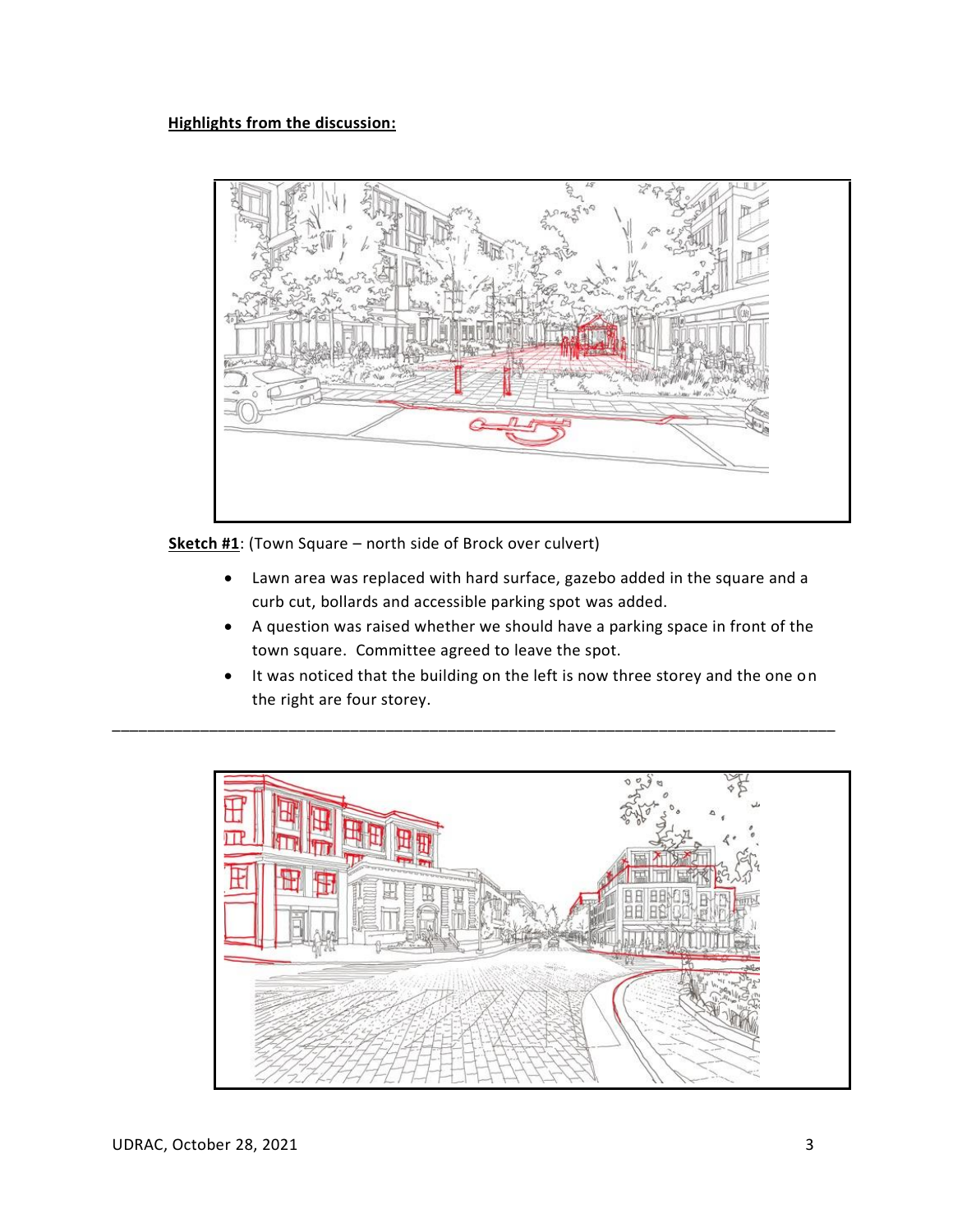

**Sketch #1**: (Town Square – north side of Brock over culvert)

- Lawn area was replaced with hard surface, gazebo added in the square and a curb cut, bollards and accessible parking spot was added.
- A question was raised whether we should have a parking space in front of the town square. Committee agreed to leave the spot.
- It was noticed that the building on the left is now three storey and the one on the right are four storey.

\_\_\_\_\_\_\_\_\_\_\_\_\_\_\_\_\_\_\_\_\_\_\_\_\_\_\_\_\_\_\_\_\_\_\_\_\_\_\_\_\_\_\_\_\_\_\_\_\_\_\_\_\_\_\_\_\_\_\_\_\_\_\_\_\_\_\_\_\_\_\_\_\_\_\_\_\_\_\_\_\_\_

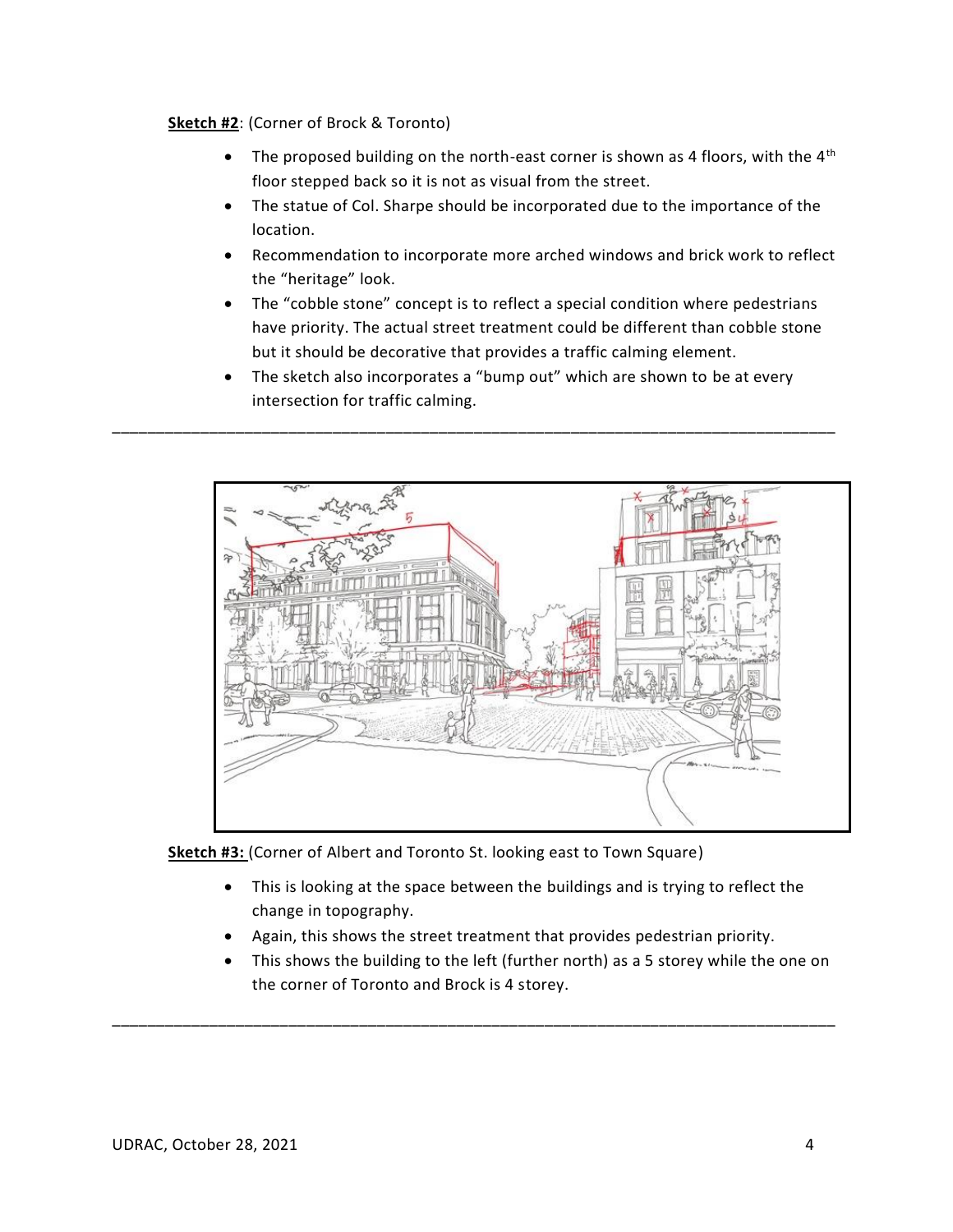# **Sketch #2**: (Corner of Brock & Toronto)

- The proposed building on the north-east corner is shown as 4 floors, with the  $4<sup>th</sup>$ floor stepped back so it is not as visual from the street.
- The statue of Col. Sharpe should be incorporated due to the importance of the location.
- Recommendation to incorporate more arched windows and brick work to reflect the "heritage" look.
- The "cobble stone" concept is to reflect a special condition where pedestrians have priority. The actual street treatment could be different than cobble stone but it should be decorative that provides a traffic calming element.
- The sketch also incorporates a "bump out" which are shown to be at every intersection for traffic calming.

\_\_\_\_\_\_\_\_\_\_\_\_\_\_\_\_\_\_\_\_\_\_\_\_\_\_\_\_\_\_\_\_\_\_\_\_\_\_\_\_\_\_\_\_\_\_\_\_\_\_\_\_\_\_\_\_\_\_\_\_\_\_\_\_\_\_\_\_\_\_\_\_\_\_\_\_\_\_\_\_\_\_



**Sketch #3:** (Corner of Albert and Toronto St. looking east to Town Square)

- This is looking at the space between the buildings and is trying to reflect the change in topography.
- Again, this shows the street treatment that provides pedestrian priority.

\_\_\_\_\_\_\_\_\_\_\_\_\_\_\_\_\_\_\_\_\_\_\_\_\_\_\_\_\_\_\_\_\_\_\_\_\_\_\_\_\_\_\_\_\_\_\_\_\_\_\_\_\_\_\_\_\_\_\_\_\_\_\_\_\_\_\_\_\_\_\_\_\_\_\_\_\_\_\_\_\_\_

• This shows the building to the left (further north) as a 5 storey while the one on the corner of Toronto and Brock is 4 storey.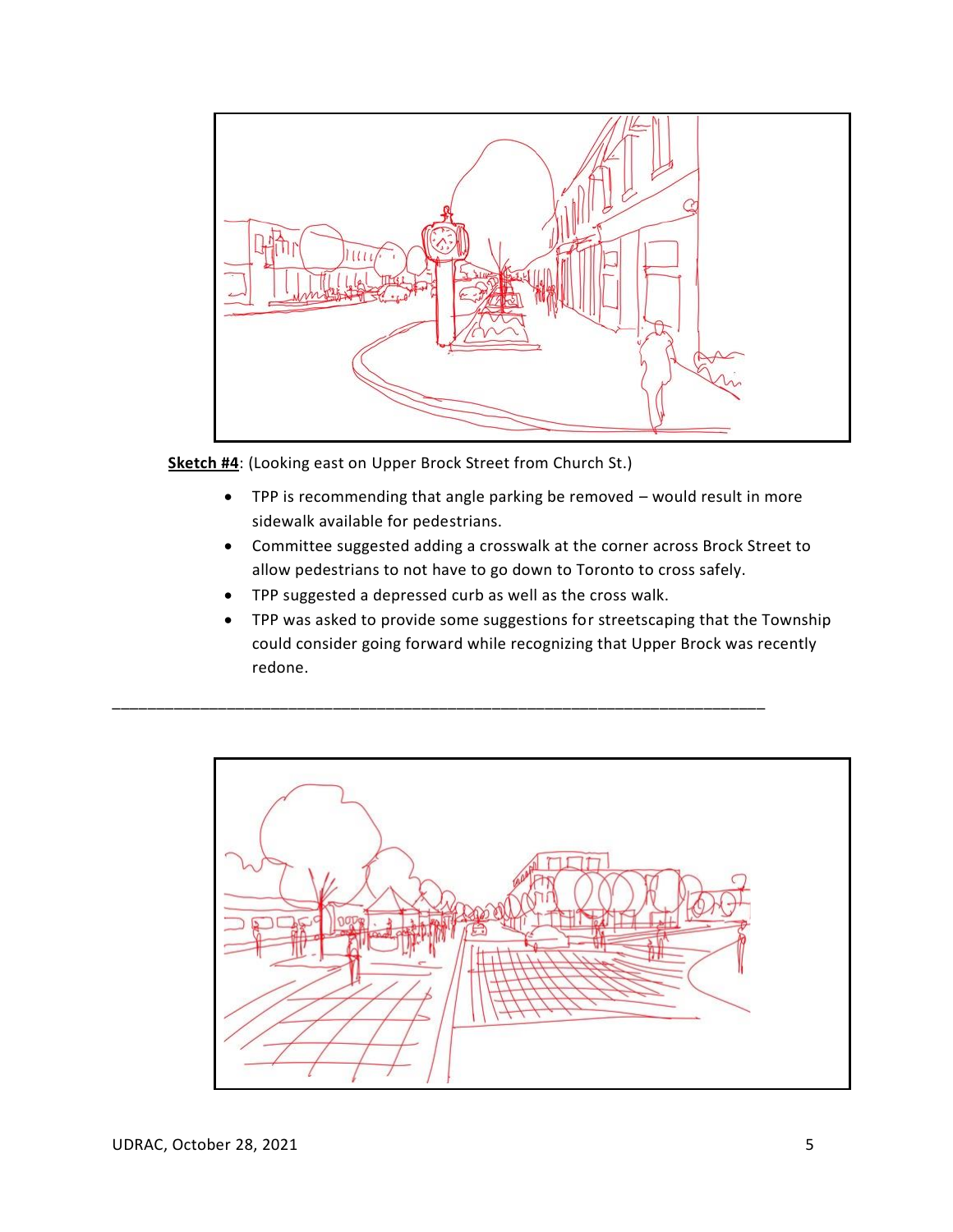

**Sketch #4**: (Looking east on Upper Brock Street from Church St.)

- TPP is recommending that angle parking be removed would result in more sidewalk available for pedestrians.
- Committee suggested adding a crosswalk at the corner across Brock Street to allow pedestrians to not have to go down to Toronto to cross safely.
- TPP suggested a depressed curb as well as the cross walk.

\_\_\_\_\_\_\_\_\_\_\_\_\_\_\_\_\_\_\_\_\_\_\_\_\_\_\_\_\_\_\_\_\_\_\_\_\_\_\_\_\_\_\_\_\_\_\_\_\_\_\_\_\_\_\_\_\_\_\_\_\_\_\_\_\_\_\_\_\_\_\_\_\_\_

• TPP was asked to provide some suggestions for streetscaping that the Township could consider going forward while recognizing that Upper Brock was recently redone.

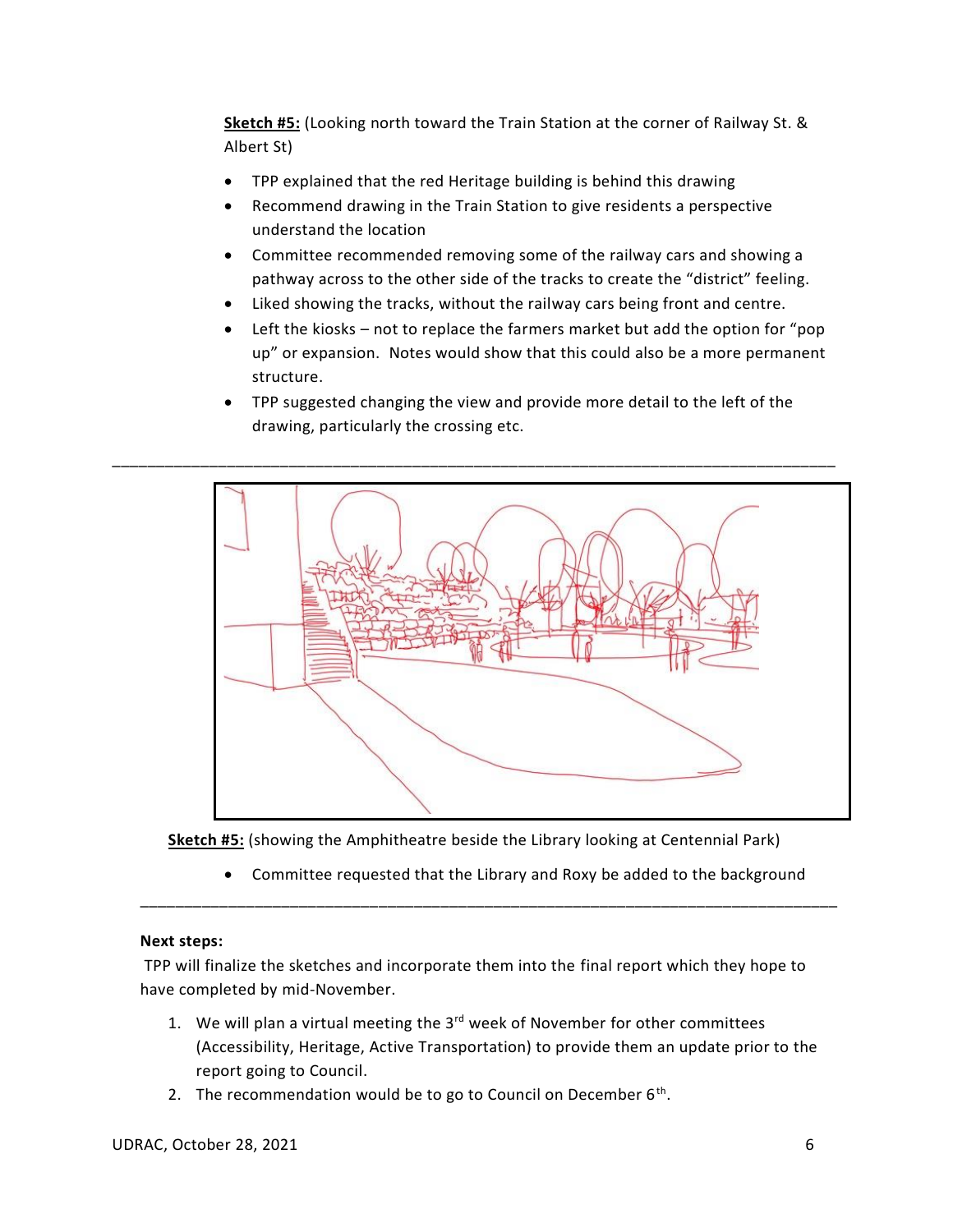**Sketch #5:** (Looking north toward the Train Station at the corner of Railway St. & Albert St)

- TPP explained that the red Heritage building is behind this drawing
- Recommend drawing in the Train Station to give residents a perspective understand the location
- Committee recommended removing some of the railway cars and showing a pathway across to the other side of the tracks to create the "district" feeling.
- Liked showing the tracks, without the railway cars being front and centre.
- Left the kiosks not to replace the farmers market but add the option for "pop" up" or expansion. Notes would show that this could also be a more permanent structure.
- TPP suggested changing the view and provide more detail to the left of the drawing, particularly the crossing etc.



**Sketch #5:** (showing the Amphitheatre beside the Library looking at Centennial Park)

\_\_\_\_\_\_\_\_\_\_\_\_\_\_\_\_\_\_\_\_\_\_\_\_\_\_\_\_\_\_\_\_\_\_\_\_\_\_\_\_\_\_\_\_\_\_\_\_\_\_\_\_\_\_\_\_\_\_\_\_\_\_\_\_\_\_\_\_\_\_\_\_\_\_\_\_\_\_\_

• Committee requested that the Library and Roxy be added to the background

# **Next steps:**

TPP will finalize the sketches and incorporate them into the final report which they hope to have completed by mid-November.

- 1. We will plan a virtual meeting the  $3<sup>rd</sup>$  week of November for other committees (Accessibility, Heritage, Active Transportation) to provide them an update prior to the report going to Council.
- 2. The recommendation would be to go to Council on December  $6<sup>th</sup>$ .